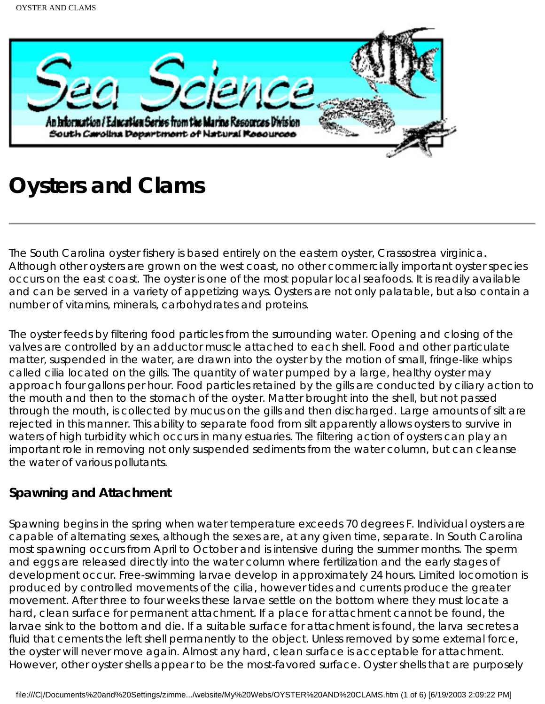

# **Oysters and Clams**

The South Carolina oyster fishery is based entirely on the eastern oyster, Crassostrea virginica. Although other oysters are grown on the west coast, no other commercially important oyster species occurs on the east coast. The oyster is one of the most popular local seafoods. It is readily available and can be served in a variety of appetizing ways. Oysters are not only palatable, but also contain a number of vitamins, minerals, carbohydrates and proteins.

The oyster feeds by filtering food particles from the surrounding water. Opening and closing of the valves are controlled by an adductor muscle attached to each shell. Food and other particulate matter, suspended in the water, are drawn into the oyster by the motion of small, fringe-like whips called cilia located on the gills. The quantity of water pumped by a large, healthy oyster may approach four gallons per hour. Food particles retained by the gills are conducted by ciliary action to the mouth and then to the stomach of the oyster. Matter brought into the shell, but not passed through the mouth, is collected by mucus on the gills and then discharged. Large amounts of silt are rejected in this manner. This ability to separate food from silt apparently allows oysters to survive in waters of high turbidity which occurs in many estuaries. The filtering action of oysters can play an important role in removing not only suspended sediments from the water column, but can cleanse the water of various pollutants.

#### **Spawning and Attachment**

Spawning begins in the spring when water temperature exceeds 70 degrees F. Individual oysters are capable of alternating sexes, although the sexes are, at any given time, separate. In South Carolina most spawning occurs from April to October and is intensive during the summer months. The sperm and eggs are released directly into the water column where fertilization and the early stages of development occur. Free-swimming larvae develop in approximately 24 hours. Limited locomotion is produced by controlled movements of the cilia, however tides and currents produce the greater movement. After three to four weeks these larvae settle on the bottom where they must locate a hard, clean surface for permanent attachment. If a place for attachment cannot be found, the larvae sink to the bottom and die. If a suitable surface for attachment is found, the larva secretes a fluid that cements the left shell permanently to the object. Unless removed by some external force, the oyster will never move again. Almost any hard, clean surface is acceptable for attachment. However, other oyster shells appear to be the most-favored surface. Oyster shells that are purposely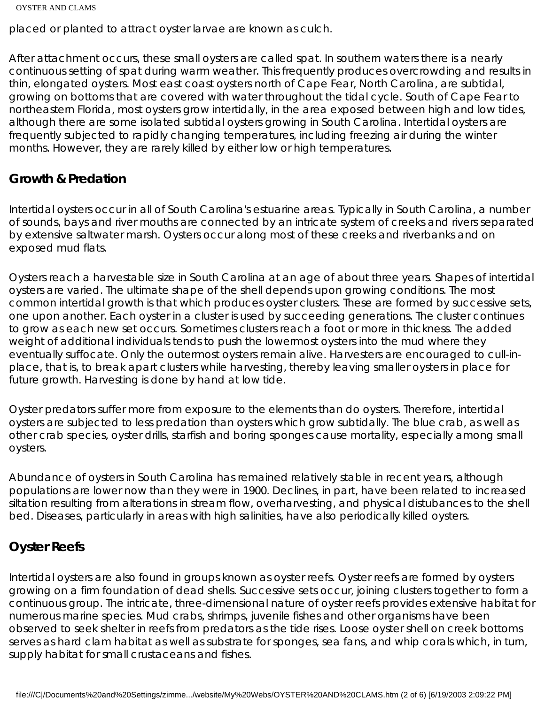```
OYSTER AND CLAMS
```
placed or planted to attract oyster larvae are known as culch.

After attachment occurs, these small oysters are called spat. In southern waters there is a nearly continuous setting of spat during warm weather. This frequently produces overcrowding and results in thin, elongated oysters. Most east coast oysters north of Cape Fear, North Carolina, are subtidal, growing on bottoms that are covered with water throughout the tidal cycle. South of Cape Fear to northeastern Florida, most oysters grow intertidally, in the area exposed between high and low tides, although there are some isolated subtidal oysters growing in South Carolina. Intertidal oysters are frequently subjected to rapidly changing temperatures, including freezing air during the winter months. However, they are rarely killed by either low or high temperatures.

#### **Growth & Predation**

Intertidal oysters occur in all of South Carolina's estuarine areas. Typically in South Carolina, a number of sounds, bays and river mouths are connected by an intricate system of creeks and rivers separated by extensive saltwater marsh. Oysters occur along most of these creeks and riverbanks and on exposed mud flats.

Oysters reach a harvestable size in South Carolina at an age of about three years. Shapes of intertidal oysters are varied. The ultimate shape of the shell depends upon growing conditions. The most common intertidal growth is that which produces oyster clusters. These are formed by successive sets, one upon another. Each oyster in a cluster is used by succeeding generations. The cluster continues to grow as each new set occurs. Sometimes clusters reach a foot or more in thickness. The added weight of additional individuals tends to push the lowermost oysters into the mud where they eventually suffocate. Only the outermost oysters remain alive. Harvesters are encouraged to cull-inplace, that is, to break apart clusters while harvesting, thereby leaving smaller oysters in place for future growth. Harvesting is done by hand at low tide.

Oyster predators suffer more from exposure to the elements than do oysters. Therefore, intertidal oysters are subjected to less predation than oysters which grow subtidally. The blue crab, as well as other crab species, oyster drills, starfish and boring sponges cause mortality, especially among small oysters.

Abundance of oysters in South Carolina has remained relatively stable in recent years, although populations are lower now than they were in 1900. Declines, in part, have been related to increased siltation resulting from alterations in stream flow, overharvesting, and physical distubances to the shell bed. Diseases, particularly in areas with high salinities, have also periodically killed oysters.

## **Oyster Reefs**

Intertidal oysters are also found in groups known as oyster reefs. Oyster reefs are formed by oysters growing on a firm foundation of dead shells. Successive sets occur, joining clusters together to form a continuous group. The intricate, three-dimensional nature of oyster reefs provides extensive habitat for numerous marine species. Mud crabs, shrimps, juvenile fishes and other organisms have been observed to seek shelter in reefs from predators as the tide rises. Loose oyster shell on creek bottoms serves as hard clam habitat as well as substrate for sponges, sea fans, and whip corals which, in turn, supply habitat for small crustaceans and fishes.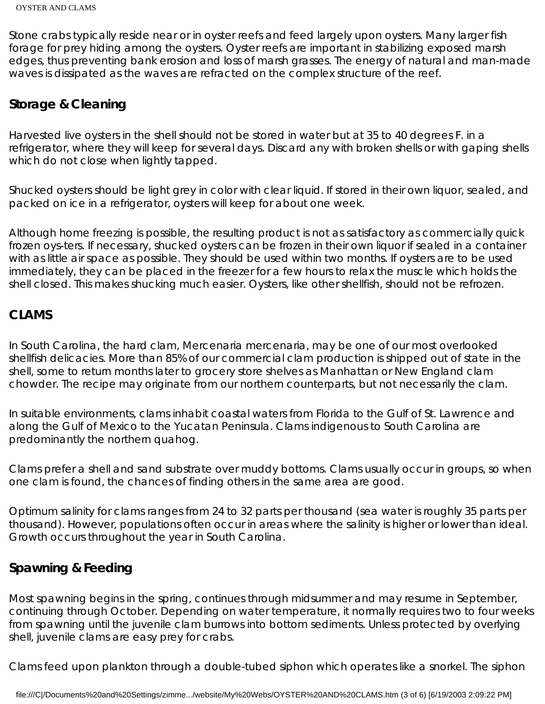Stone crabs typically reside near or in oyster reefs and feed largely upon oysters. Many larger fish forage for prey hiding among the oysters. Oyster reefs are important in stabilizing exposed marsh edges, thus preventing bank erosion and loss of marsh grasses. The energy of natural and man-made waves is dissipated as the waves are refracted on the complex structure of the reef.

## **Storage & Cleaning**

Harvested live oysters in the shell should not be stored in water but at 35 to 40 degrees F. in a refrigerator, where they will keep for several days. Discard any with broken shells or with gaping shells which do not close when lightly tapped.

Shucked oysters should be light grey in color with clear liquid. If stored in their own liquor, sealed, and packed on ice in a refrigerator, oysters will keep for about one week.

Although home freezing is possible, the resulting product is not as satisfactory as commercially quick frozen oys-ters. If necessary, shucked oysters can be frozen in their own liquor if sealed in a container with as little air space as possible. They should be used within two months. If oysters are to be used immediately, they can be placed in the freezer for a few hours to relax the muscle which holds the shell closed. This makes shucking much easier. Oysters, like other shellfish, should not be refrozen.

### **CLAMS**

In South Carolina, the hard clam, Mercenaria mercenaria, may be one of our most overlooked shellfish delicacies. More than 85% of our commercial clam production is shipped out of state in the shell, some to return months later to grocery store shelves as Manhattan or New England clam chowder. The recipe may originate from our northern counterparts, but not necessarily the clam.

In suitable environments, clams inhabit coastal waters from Florida to the Gulf of St. Lawrence and along the Gulf of Mexico to the Yucatan Peninsula. Clams indigenous to South Carolina are predominantly the northern quahog.

Clams prefer a shell and sand substrate over muddy bottoms. Clams usually occur in groups, so when one clam is found, the chances of finding others in the same area are good.

Optimum salinity for clams ranges from 24 to 32 parts per thousand (sea water is roughly 35 parts per thousand). However, populations often occur in areas where the salinity is higher or lower than ideal. Growth occurs throughout the year in South Carolina.

### **Spawning & Feeding**

Most spawning begins in the spring, continues through midsummer and may resume in September, continuing through October. Depending on water temperature, it normally requires two to four weeks from spawning until the juvenile clam burrows into bottom sediments. Unless protected by overlying shell, juvenile clams are easy prey for crabs.

Clams feed upon plankton through a double-tubed siphon which operates like a snorkel. The siphon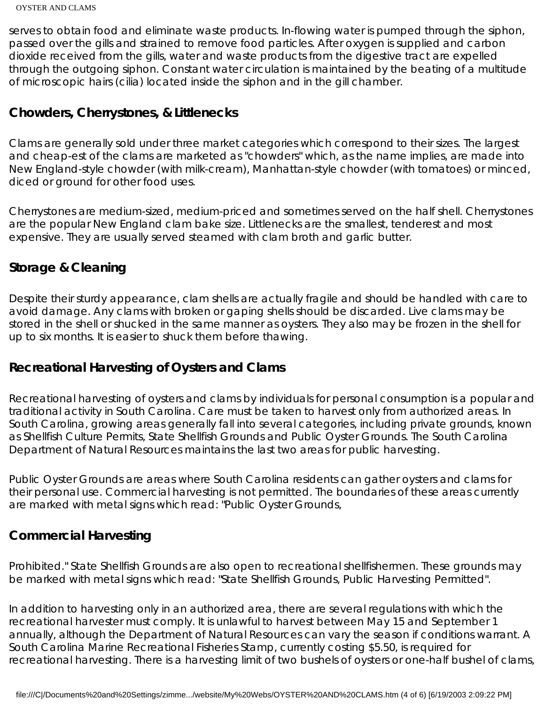serves to obtain food and eliminate waste products. In-flowing water is pumped through the siphon, passed over the gills and strained to remove food particles. After oxygen is supplied and carbon dioxide received from the gills, water and waste products from the digestive tract are expelled through the outgoing siphon. Constant water circulation is maintained by the beating of a multitude of microscopic hairs (cilia) located inside the siphon and in the gill chamber.

#### **Chowders, Cherrystones, & Littlenecks**

Clams are generally sold under three market categories which correspond to their sizes. The largest and cheap-est of the clams are marketed as "chowders" which, as the name implies, are made into New England-style chowder (with milk-cream), Manhattan-style chowder (with tomatoes) or minced, diced or ground for other food uses.

Cherrystones are medium-sized, medium-priced and sometimes served on the half shell. Cherrystones are the popular New England clam bake size. Littlenecks are the smallest, tenderest and most expensive. They are usually served steamed with clam broth and garlic butter.

### **Storage & Cleaning**

Despite their sturdy appearance, clam shells are actually fragile and should be handled with care to avoid damage. Any clams with broken or gaping shells should be discarded. Live clams may be stored in the shell or shucked in the same manner as oysters. They also may be frozen in the shell for up to six months. It is easier to shuck them before thawing.

### **Recreational Harvesting of Oysters and Clams**

Recreational harvesting of oysters and clams by individuals for personal consumption is a popular and traditional activity in South Carolina. Care must be taken to harvest only from authorized areas. In South Carolina, growing areas generally fall into several categories, including private grounds, known as Shellfish Culture Permits, State Shellfish Grounds and Public Oyster Grounds. The South Carolina Department of Natural Resources maintains the last two areas for public harvesting.

Public Oyster Grounds are areas where South Carolina residents can gather oysters and clams for their personal use. Commercial harvesting is not permitted. The boundaries of these areas currently are marked with metal signs which read: "Public Oyster Grounds,

### **Commercial Harvesting**

Prohibited." State Shellfish Grounds are also open to recreational shellfishermen. These grounds may be marked with metal signs which read: "State Shellfish Grounds, Public Harvesting Permitted".

In addition to harvesting only in an authorized area, there are several regulations with which the recreational harvester must comply. It is unlawful to harvest between May 15 and September 1 annually, although the Department of Natural Resources can vary the season if conditions warrant. A South Carolina Marine Recreational Fisheries Stamp, currently costing \$5.50, is required for recreational harvesting. There is a harvesting limit of two bushels of oysters or one-half bushel of clams,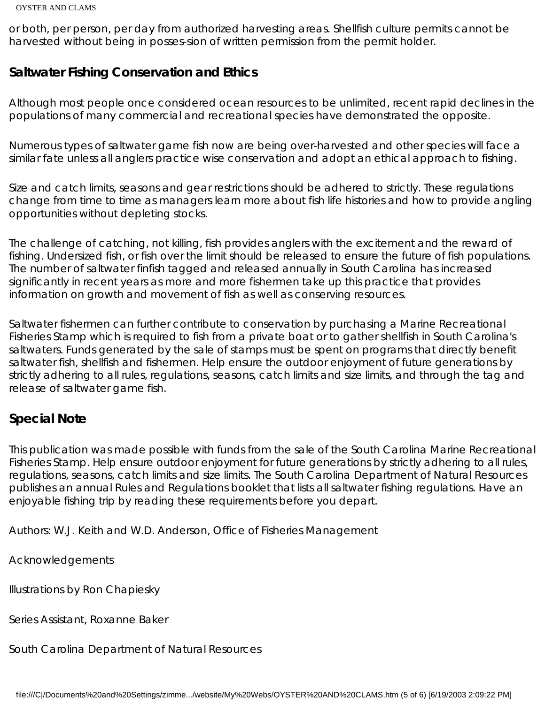#### OYSTER AND CLAMS

or both, per person, per day from authorized harvesting areas. Shellfish culture permits cannot be harvested without being in posses-sion of written permission from the permit holder.

#### **Saltwater Fishing Conservation and Ethics**

Although most people once considered ocean resources to be unlimited, recent rapid declines in the populations of many commercial and recreational species have demonstrated the opposite.

Numerous types of saltwater game fish now are being over-harvested and other species will face a similar fate unless all anglers practice wise conservation and adopt an ethical approach to fishing.

Size and catch limits, seasons and gear restrictions should be adhered to strictly. These regulations change from time to time as managers learn more about fish life histories and how to provide angling opportunities without depleting stocks.

The challenge of catching, not killing, fish provides anglers with the excitement and the reward of fishing. Undersized fish, or fish over the limit should be released to ensure the future of fish populations. The number of saltwater finfish tagged and released annually in South Carolina has increased significantly in recent years as more and more fishermen take up this practice that provides information on growth and movement of fish as well as conserving resources.

Saltwater fishermen can further contribute to conservation by purchasing a Marine Recreational Fisheries Stamp which is required to fish from a private boat or to gather shellfish in South Carolina's saltwaters. Funds generated by the sale of stamps must be spent on programs that directly benefit saltwater fish, shellfish and fishermen. Help ensure the outdoor enjoyment of future generations by strictly adhering to all rules, regulations, seasons, catch limits and size limits, and through the tag and release of saltwater game fish.

#### **Special Note**

This publication was made possible with funds from the sale of the South Carolina Marine Recreational Fisheries Stamp. Help ensure outdoor enjoyment for future generations by strictly adhering to all rules, regulations, seasons, catch limits and size limits. The South Carolina Department of Natural Resources publishes an annual Rules and Regulations booklet that lists all saltwater fishing regulations. Have an enjoyable fishing trip by reading these requirements before you depart.

Authors: W.J. Keith and W.D. Anderson, Office of Fisheries Management

Acknowledgements

Illustrations by Ron Chapiesky

Series Assistant, Roxanne Baker

South Carolina Department of Natural Resources